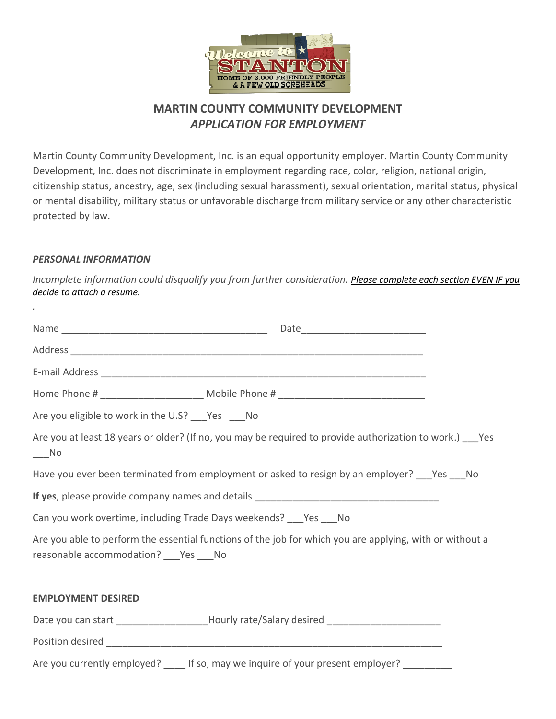

# **MARTIN COUNTY COMMUNITY DEVELOPMENT** *APPLICATION FOR EMPLOYMENT*

Martin County Community Development, Inc. is an equal opportunity employer. Martin County Community Development, Inc. does not discriminate in employment regarding race, color, religion, national origin, citizenship status, ancestry, age, sex (including sexual harassment), sexual orientation, marital status, physical or mental disability, military status or unfavorable discharge from military service or any other characteristic protected by law.

## *PERSONAL INFORMATION*

*.*

*Incomplete information could disqualify you from further consideration. Please complete each section EVEN IF you decide to attach a resume.*

| Are you eligible to work in the U.S? ___ Yes ___ No                                                                                                  |                                                                                                            |  |  |
|------------------------------------------------------------------------------------------------------------------------------------------------------|------------------------------------------------------------------------------------------------------------|--|--|
| $\_\_$ No                                                                                                                                            | Are you at least 18 years or older? (If no, you may be required to provide authorization to work.) ___ Yes |  |  |
|                                                                                                                                                      | Have you ever been terminated from employment or asked to resign by an employer? ___ Yes ___ No            |  |  |
|                                                                                                                                                      |                                                                                                            |  |  |
| Can you work overtime, including Trade Days weekends? ___ Yes ___ No                                                                                 |                                                                                                            |  |  |
| Are you able to perform the essential functions of the job for which you are applying, with or without a<br>reasonable accommodation? ___ Yes ___ No |                                                                                                            |  |  |
| <b>EMPLOYMENT DESIRED</b>                                                                                                                            |                                                                                                            |  |  |
|                                                                                                                                                      | Date you can start _____________________Hourly rate/Salary desired ____________________                    |  |  |
|                                                                                                                                                      |                                                                                                            |  |  |
|                                                                                                                                                      | Are you currently employed? _____ If so, may we inquire of your present employer? __________               |  |  |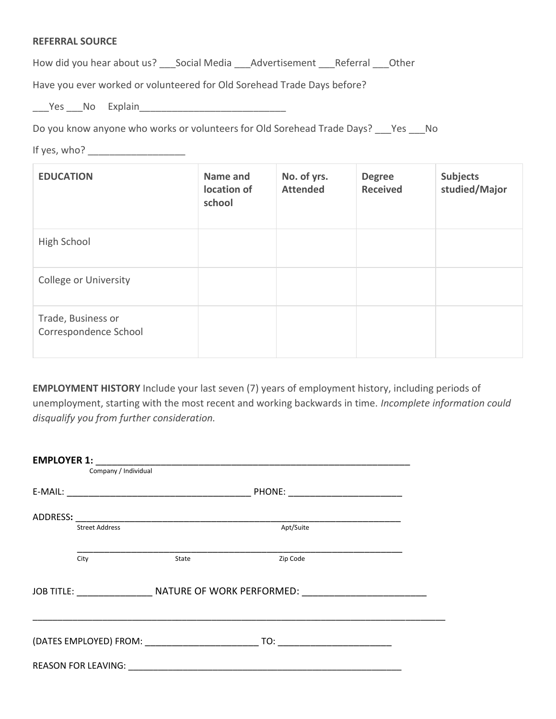#### **REFERRAL SOURCE**

How did you hear about us? \_\_\_Social Media \_\_\_Advertisement \_\_\_Referral \_\_\_Other

Have you ever worked or volunteered for Old Sorehead Trade Days before?

\_\_\_Yes \_\_\_No Explain\_\_\_\_\_\_\_\_\_\_\_\_\_\_\_\_\_\_\_\_\_\_\_\_\_\_\_

Do you know anyone who works or volunteers for Old Sorehead Trade Days? \_\_\_Yes \_\_\_No

If yes, who? \_\_\_\_\_\_\_\_\_\_\_\_\_\_\_\_\_\_

| <b>EDUCATION</b>                            | Name and<br>location of<br>school | No. of yrs.<br><b>Attended</b> | <b>Degree</b><br><b>Received</b> | <b>Subjects</b><br>studied/Major |
|---------------------------------------------|-----------------------------------|--------------------------------|----------------------------------|----------------------------------|
| High School                                 |                                   |                                |                                  |                                  |
| <b>College or University</b>                |                                   |                                |                                  |                                  |
| Trade, Business or<br>Correspondence School |                                   |                                |                                  |                                  |

**EMPLOYMENT HISTORY** Include your last seven (7) years of employment history, including periods of unemployment, starting with the most recent and working backwards in time. *Incomplete information could disqualify you from further consideration.*

| <b>EMPLOYER 1:</b>                                                                                  |                       |                                     |                                                                                                                                                                                                                                                                                                                                                     |  |
|-----------------------------------------------------------------------------------------------------|-----------------------|-------------------------------------|-----------------------------------------------------------------------------------------------------------------------------------------------------------------------------------------------------------------------------------------------------------------------------------------------------------------------------------------------------|--|
|                                                                                                     | Company / Individual  |                                     |                                                                                                                                                                                                                                                                                                                                                     |  |
|                                                                                                     |                       | PHONE: ____________________________ |                                                                                                                                                                                                                                                                                                                                                     |  |
| ADDRESS:                                                                                            |                       |                                     |                                                                                                                                                                                                                                                                                                                                                     |  |
|                                                                                                     | <b>Street Address</b> |                                     | Apt/Suite                                                                                                                                                                                                                                                                                                                                           |  |
|                                                                                                     | City                  | State                               | Zip Code                                                                                                                                                                                                                                                                                                                                            |  |
| JOB TITLE: __________________________ NATURE OF WORK PERFORMED: ___________________________________ |                       |                                     |                                                                                                                                                                                                                                                                                                                                                     |  |
|                                                                                                     |                       |                                     | $\begin{picture}(180,10) \put(0,0){\line(1,0){10}} \put(10,0){\line(1,0){10}} \put(10,0){\line(1,0){10}} \put(10,0){\line(1,0){10}} \put(10,0){\line(1,0){10}} \put(10,0){\line(1,0){10}} \put(10,0){\line(1,0){10}} \put(10,0){\line(1,0){10}} \put(10,0){\line(1,0){10}} \put(10,0){\line(1,0){10}} \put(10,0){\line(1,0){10}} \put(10,0){\line($ |  |
|                                                                                                     |                       |                                     |                                                                                                                                                                                                                                                                                                                                                     |  |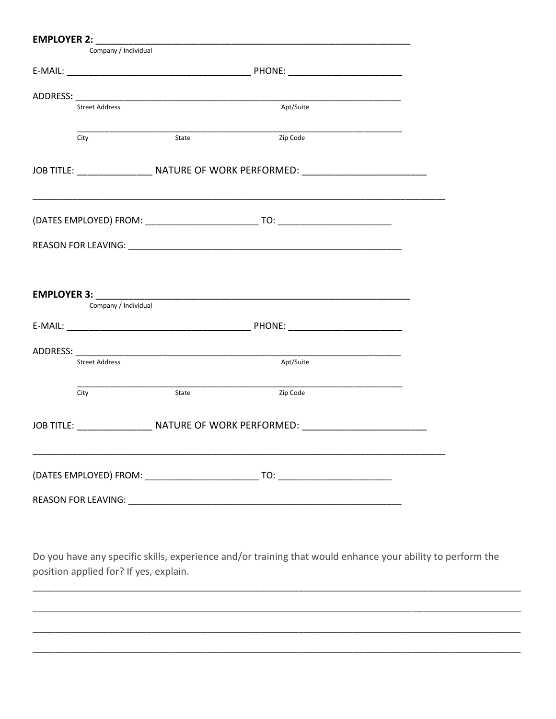| Company / Individual       |       |                                                                                                                       |  |
|----------------------------|-------|-----------------------------------------------------------------------------------------------------------------------|--|
|                            |       |                                                                                                                       |  |
|                            |       |                                                                                                                       |  |
| <b>Street Address</b>      |       | Apt/Suite                                                                                                             |  |
| City                       | State | Zip Code                                                                                                              |  |
|                            |       |                                                                                                                       |  |
|                            |       |                                                                                                                       |  |
|                            |       |                                                                                                                       |  |
| Company / Individual       |       |                                                                                                                       |  |
|                            |       |                                                                                                                       |  |
|                            |       | <u> 1980 - Johann Barbara, martin da basar da basar da basar da basar da basar da basar da basar da basar da basa</u> |  |
| <b>Street Address</b>      |       | Apt/Suite                                                                                                             |  |
| City                       | State | Zip Code                                                                                                              |  |
|                            |       |                                                                                                                       |  |
|                            |       | ,我们也不能在这里,我们的人们也不能在这里,我们也不能在这里的人们,我们也不能在这里的人们,我们也不能在这里的人们,我们也不能在这里的人们,我们也不能在这里的人                                      |  |
| <b>REASON FOR LEAVING:</b> |       |                                                                                                                       |  |

Do you have any specific skills, experience and/or training that would enhance your ability to perform the position applied for? If yes, explain.